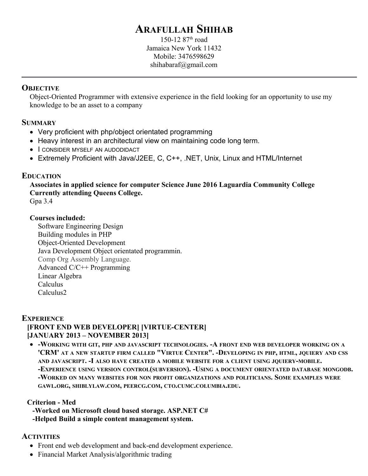# **ARAFULLAH SHIHAB**

150-12  $87<sup>th</sup>$  road Jamaica New York 11432 Mobile: 3476598629 shihabaraf@gmail.com

### **OBJECTIVE**

Object-Oriented Programmer with extensive experience in the field looking for an opportunity to use my knowledge to be an asset to a company

#### **SUMMARY**

- Very proficient with php/object orientated programming
- Heavy interest in an architectural view on maintaining code long term.
- **I CONSIDER MYSELF AN AUDODIDACT**
- Extremely Proficient with Java/J2EE, C, C++, .NET, Unix, Linux and HTML/Internet

## **EDUCATION**

**Associates in applied science for computer Science June 2016 Laguardia Community College Currently attending Queens College.**

Gpa 3.4

#### **Courses included:**

Software Engineering Design Building modules in PHP Object-Oriented Development Java Development Object orientated programmin. Comp Org Assembly Language. Advanced C/C++ Programming Linear Algebra Calculus Calculus2

#### **EXPERIENCE**

# **[FRONT END WEB DEVELOPER] [VIRTUE-CENTER] [JANUARY 2013 – NOVEMBER 2013]**

 **-WORKING WITH GIT, PHP AND JAVASCRIPT TECHNOLOGIES. -A FRONT END WEB DEVELOPER WORKING ON A** 'CRM' AT A NEW STARTUP FIRM CALLED "VIRTUE CENTER". -DEVELOPING IN PHP, HTML, JQUIERY AND CSS **AND JAVASCRIPT. -I ALSO HAVE CREATED A MOBILE WEBSITE FOR A CLIENT USING JQUIERY-MOBILE. -EXPERIENCE USING VERSION CONTROL(SUBVERSION). -USING A DOCUMENT ORIENTATED DATABASE MONGODB. -WORKED ON MANY WEBSITES FOR NON PROFIT ORGANIZATIONS AND POLITICIANS. SOME EXAMPLES WERE GAWL.ORG, SHIBLYLAW.COM, PEERCG.COM, CTO.CUMC.COLUMBIA.EDU.**

## **Criterion - Med**

- **-Worked on Microsoft cloud based storage. ASP.NET C#**
- **-Helped Build a simple content management system.**

## **ACTIVITIES**

- Front end web development and back-end development experience.
- Financial Market Analysis/algorithmic trading